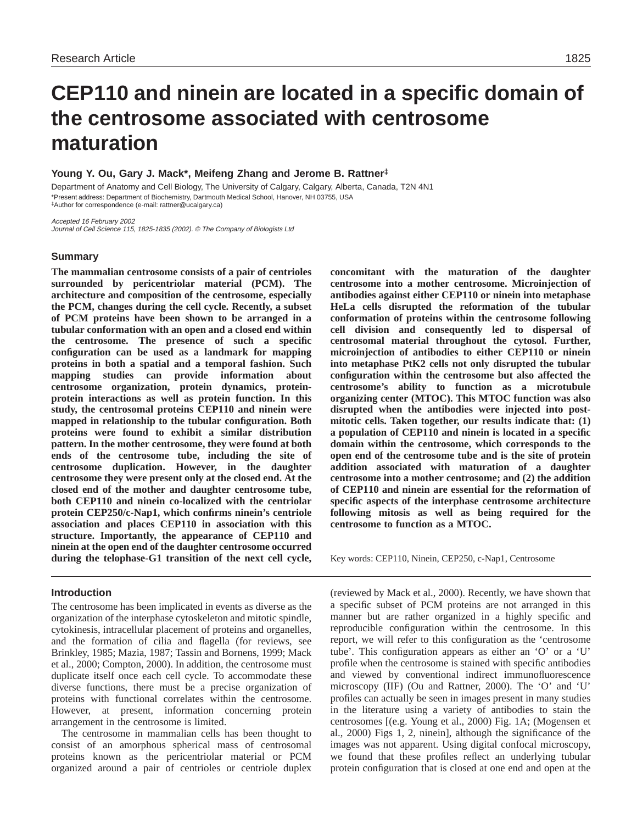# **CEP110 and ninein are located in a specific domain of the centrosome associated with centrosome maturation**

# **Young Y. Ou, Gary J. Mack\*, Meifeng Zhang and Jerome B. Rattner‡**

Department of Anatomy and Cell Biology, The University of Calgary, Calgary, Alberta, Canada, T2N 4N1 \*Present address: Department of Biochemistry, Dartmouth Medical School, Hanover, NH 03755, USA ‡Author for correspondence (e-mail: rattner@ucalgary.ca)

Accepted 16 February 2002 Journal of Cell Science 115, 1825-1835 (2002). © The Company of Biologists Ltd

# **Summary**

**The mammalian centrosome consists of a pair of centrioles surrounded by pericentriolar material (PCM). The architecture and composition of the centrosome, especially the PCM, changes during the cell cycle. Recently, a subset of PCM proteins have been shown to be arranged in a tubular conformation with an open and a closed end within the centrosome. The presence of such a specific configuration can be used as a landmark for mapping proteins in both a spatial and a temporal fashion. Such mapping studies can provide information about centrosome organization, protein dynamics, proteinprotein interactions as well as protein function. In this study, the centrosomal proteins CEP110 and ninein were mapped in relationship to the tubular configuration. Both proteins were found to exhibit a similar distribution pattern. In the mother centrosome, they were found at both ends of the centrosome tube, including the site of centrosome duplication. However, in the daughter centrosome they were present only at the closed end. At the closed end of the mother and daughter centrosome tube, both CEP110 and ninein co-localized with the centriolar protein CEP250/c-Nap1, which confirms ninein's centriole association and places CEP110 in association with this structure. Importantly, the appearance of CEP110 and ninein at the open end of the daughter centrosome occurred during the telophase-G1 transition of the next cell cycle,**

# **Introduction**

The centrosome has been implicated in events as diverse as the organization of the interphase cytoskeleton and mitotic spindle, cytokinesis, intracellular placement of proteins and organelles, and the formation of cilia and flagella (for reviews, see Brinkley, 1985; Mazia, 1987; Tassin and Bornens, 1999; Mack et al., 2000; Compton, 2000). In addition, the centrosome must duplicate itself once each cell cycle. To accommodate these diverse functions, there must be a precise organization of proteins with functional correlates within the centrosome. However, at present, information concerning protein arrangement in the centrosome is limited.

The centrosome in mammalian cells has been thought to consist of an amorphous spherical mass of centrosomal proteins known as the pericentriolar material or PCM organized around a pair of centrioles or centriole duplex

**concomitant with the maturation of the daughter centrosome into a mother centrosome. Microinjection of antibodies against either CEP110 or ninein into metaphase HeLa cells disrupted the reformation of the tubular conformation of proteins within the centrosome following cell division and consequently led to dispersal of centrosomal material throughout the cytosol. Further, microinjection of antibodies to either CEP110 or ninein into metaphase PtK2 cells not only disrupted the tubular configuration within the centrosome but also affected the centrosome's ability to function as a microtubule organizing center (MTOC). This MTOC function was also disrupted when the antibodies were injected into postmitotic cells. Taken together, our results indicate that: (1) a population of CEP110 and ninein is located in a specific domain within the centrosome, which corresponds to the open end of the centrosome tube and is the site of protein addition associated with maturation of a daughter centrosome into a mother centrosome; and (2) the addition of CEP110 and ninein are essential for the reformation of specific aspects of the interphase centrosome architecture following mitosis as well as being required for the centrosome to function as a MTOC.**

Key words: CEP110, Ninein, CEP250, c-Nap1, Centrosome

(reviewed by Mack et al., 2000). Recently, we have shown that a specific subset of PCM proteins are not arranged in this manner but are rather organized in a highly specific and reproducible configuration within the centrosome. In this report, we will refer to this configuration as the 'centrosome tube'. This configuration appears as either an 'O' or a 'U' profile when the centrosome is stained with specific antibodies and viewed by conventional indirect immunofluorescence microscopy (IIF) (Ou and Rattner, 2000). The 'O' and 'U' profiles can actually be seen in images present in many studies in the literature using a variety of antibodies to stain the centrosomes [(e.g. Young et al., 2000) Fig. 1A; (Mogensen et al., 2000) Figs 1, 2, ninein], although the significance of the images was not apparent. Using digital confocal microscopy, we found that these profiles reflect an underlying tubular protein configuration that is closed at one end and open at the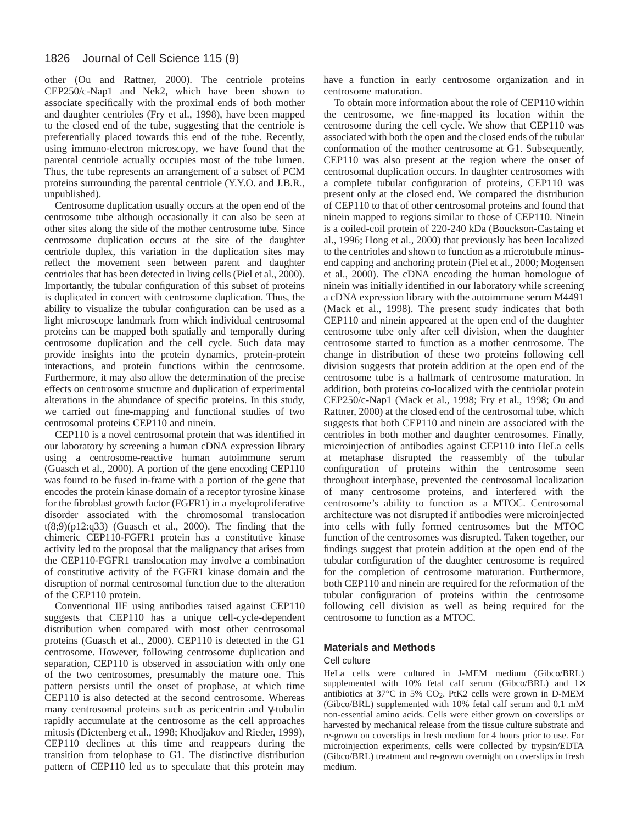other (Ou and Rattner, 2000). The centriole proteins CEP250/c-Nap1 and Nek2, which have been shown to associate specifically with the proximal ends of both mother and daughter centrioles (Fry et al., 1998), have been mapped to the closed end of the tube, suggesting that the centriole is preferentially placed towards this end of the tube. Recently, using immuno-electron microscopy, we have found that the parental centriole actually occupies most of the tube lumen. Thus, the tube represents an arrangement of a subset of PCM proteins surrounding the parental centriole (Y.Y.O. and J.B.R., unpublished).

Centrosome duplication usually occurs at the open end of the centrosome tube although occasionally it can also be seen at other sites along the side of the mother centrosome tube. Since centrosome duplication occurs at the site of the daughter centriole duplex, this variation in the duplication sites may reflect the movement seen between parent and daughter centrioles that has been detected in living cells (Piel et al., 2000). Importantly, the tubular configuration of this subset of proteins is duplicated in concert with centrosome duplication. Thus, the ability to visualize the tubular configuration can be used as a light microscope landmark from which individual centrosomal proteins can be mapped both spatially and temporally during centrosome duplication and the cell cycle. Such data may provide insights into the protein dynamics, protein-protein interactions, and protein functions within the centrosome. Furthermore, it may also allow the determination of the precise effects on centrosome structure and duplication of experimental alterations in the abundance of specific proteins. In this study, we carried out fine-mapping and functional studies of two centrosomal proteins CEP110 and ninein.

CEP110 is a novel centrosomal protein that was identified in our laboratory by screening a human cDNA expression library using a centrosome-reactive human autoimmune serum (Guasch et al., 2000). A portion of the gene encoding CEP110 was found to be fused in-frame with a portion of the gene that encodes the protein kinase domain of a receptor tyrosine kinase for the fibroblast growth factor (FGFR1) in a myeloproliferative disorder associated with the chromosomal translocation t(8;9)(p12:q33) (Guasch et al., 2000). The finding that the chimeric CEP110-FGFR1 protein has a constitutive kinase activity led to the proposal that the malignancy that arises from the CEP110-FGFR1 translocation may involve a combination of constitutive activity of the FGFR1 kinase domain and the disruption of normal centrosomal function due to the alteration of the CEP110 protein.

Conventional IIF using antibodies raised against CEP110 suggests that CEP110 has a unique cell-cycle-dependent distribution when compared with most other centrosomal proteins (Guasch et al., 2000). CEP110 is detected in the G1 centrosome. However, following centrosome duplication and separation, CEP110 is observed in association with only one of the two centrosomes, presumably the mature one. This pattern persists until the onset of prophase, at which time CEP110 is also detected at the second centrosome. Whereas many centrosomal proteins such as pericentrin and γ-tubulin rapidly accumulate at the centrosome as the cell approaches mitosis (Dictenberg et al., 1998; Khodjakov and Rieder, 1999), CEP110 declines at this time and reappears during the transition from telophase to G1. The distinctive distribution pattern of CEP110 led us to speculate that this protein may have a function in early centrosome organization and in centrosome maturation.

To obtain more information about the role of CEP110 within the centrosome, we fine-mapped its location within the centrosome during the cell cycle. We show that CEP110 was associated with both the open and the closed ends of the tubular conformation of the mother centrosome at G1. Subsequently, CEP110 was also present at the region where the onset of centrosomal duplication occurs. In daughter centrosomes with a complete tubular configuration of proteins, CEP110 was present only at the closed end. We compared the distribution of CEP110 to that of other centrosomal proteins and found that ninein mapped to regions similar to those of CEP110. Ninein is a coiled-coil protein of 220-240 kDa (Bouckson-Castaing et al., 1996; Hong et al., 2000) that previously has been localized to the centrioles and shown to function as a microtubule minusend capping and anchoring protein (Piel et al., 2000; Mogensen et al., 2000). The cDNA encoding the human homologue of ninein was initially identified in our laboratory while screening a cDNA expression library with the autoimmune serum M4491 (Mack et al., 1998). The present study indicates that both CEP110 and ninein appeared at the open end of the daughter centrosome tube only after cell division, when the daughter centrosome started to function as a mother centrosome. The change in distribution of these two proteins following cell division suggests that protein addition at the open end of the centrosome tube is a hallmark of centrosome maturation. In addition, both proteins co-localized with the centriolar protein CEP250/c-Nap1 (Mack et al., 1998; Fry et al., 1998; Ou and Rattner, 2000) at the closed end of the centrosomal tube, which suggests that both CEP110 and ninein are associated with the centrioles in both mother and daughter centrosomes. Finally, microinjection of antibodies against CEP110 into HeLa cells at metaphase disrupted the reassembly of the tubular configuration of proteins within the centrosome seen throughout interphase, prevented the centrosomal localization of many centrosome proteins, and interfered with the centrosome's ability to function as a MTOC. Centrosomal architecture was not disrupted if antibodies were microinjected into cells with fully formed centrosomes but the MTOC function of the centrosomes was disrupted. Taken together, our findings suggest that protein addition at the open end of the tubular configuration of the daughter centrosome is required for the completion of centrosome maturation. Furthermore, both CEP110 and ninein are required for the reformation of the tubular configuration of proteins within the centrosome following cell division as well as being required for the centrosome to function as a MTOC.

#### **Materials and Methods**

#### Cell culture

HeLa cells were cultured in J-MEM medium (Gibco/BRL) supplemented with 10% fetal calf serum (Gibco/BRL) and  $1\times$ antibiotics at 37°C in 5% CO2. PtK2 cells were grown in D-MEM (Gibco/BRL) supplemented with 10% fetal calf serum and 0.1 mM non-essential amino acids. Cells were either grown on coverslips or harvested by mechanical release from the tissue culture substrate and re-grown on coverslips in fresh medium for 4 hours prior to use. For microinjection experiments, cells were collected by trypsin/EDTA (Gibco/BRL) treatment and re-grown overnight on coverslips in fresh medium.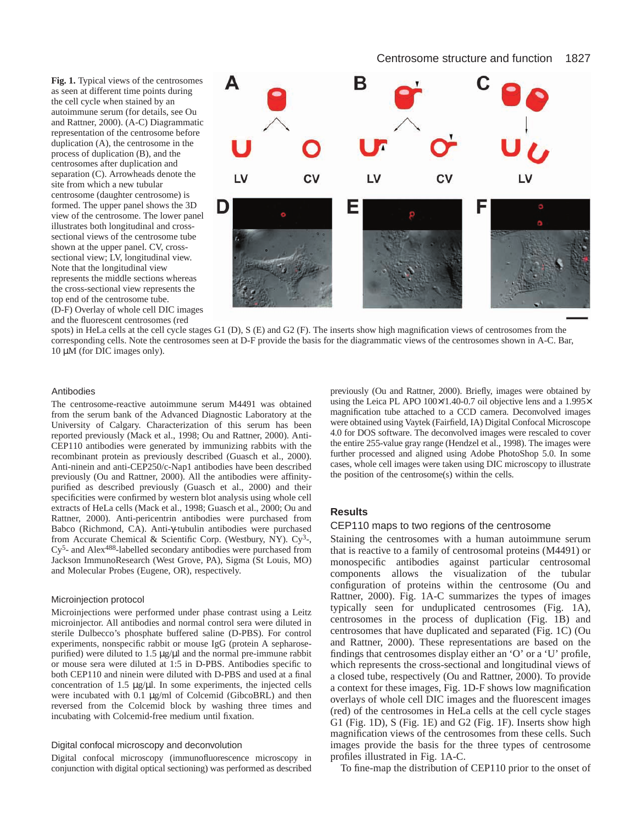# Centrosome structure and function 1827

**Fig. 1.** Typical views of the centrosomes as seen at different time points during the cell cycle when stained by an autoimmune serum (for details, see Ou and Rattner, 2000). (A-C) Diagrammatic representation of the centrosome before duplication (A), the centrosome in the process of duplication (B), and the centrosomes after duplication and separation (C). Arrowheads denote the site from which a new tubular centrosome (daughter centrosome) is formed. The upper panel shows the 3D view of the centrosome. The lower panel illustrates both longitudinal and crosssectional views of the centrosome tube shown at the upper panel. CV, crosssectional view; LV, longitudinal view. Note that the longitudinal view represents the middle sections whereas the cross-sectional view represents the top end of the centrosome tube. (D-F) Overlay of whole cell DIC images and the fluorescent centrosomes (red



spots) in HeLa cells at the cell cycle stages G1 (D), S (E) and G2 (F). The inserts show high magnification views of centrosomes from the corresponding cells. Note the centrosomes seen at D-F provide the basis for the diagrammatic views of the centrosomes shown in A-C. Bar, 10 µM (for DIC images only).

#### Antibodies

The centrosome-reactive autoimmune serum M4491 was obtained from the serum bank of the Advanced Diagnostic Laboratory at the University of Calgary. Characterization of this serum has been reported previously (Mack et al., 1998; Ou and Rattner, 2000). Anti-CEP110 antibodies were generated by immunizing rabbits with the recombinant protein as previously described (Guasch et al., 2000). Anti-ninein and anti-CEP250/c-Nap1 antibodies have been described previously (Ou and Rattner, 2000). All the antibodies were affinitypurified as described previously (Guasch et al., 2000) and their specificities were confirmed by western blot analysis using whole cell extracts of HeLa cells (Mack et al., 1998; Guasch et al., 2000; Ou and Rattner, 2000). Anti-pericentrin antibodies were purchased from Babco (Richmond, CA). Anti-γ-tubulin antibodies were purchased from Accurate Chemical & Scientific Corp. (Westbury, NY).  $Cy<sup>3</sup>$ -, Cy5- and Alex488-labelled secondary antibodies were purchased from Jackson ImmunoResearch (West Grove, PA), Sigma (St Louis, MO) and Molecular Probes (Eugene, OR), respectively.

#### Microinjection protocol

Microinjections were performed under phase contrast using a Leitz microinjector. All antibodies and normal control sera were diluted in sterile Dulbecco's phosphate buffered saline (D-PBS). For control experiments, nonspecific rabbit or mouse IgG (protein A sepharosepurified) were diluted to  $1.5 \mu g/\mu l$  and the normal pre-immune rabbit or mouse sera were diluted at 1:5 in D-PBS. Antibodies specific to both CEP110 and ninein were diluted with D-PBS and used at a final concentration of 1.5  $\mu$ g/ $\mu$ l. In some experiments, the injected cells were incubated with 0.1 µg/ml of Colcemid (GibcoBRL) and then reversed from the Colcemid block by washing three times and incubating with Colcemid-free medium until fixation.

## Digital confocal microscopy and deconvolution

Digital confocal microscopy (immunofluorescence microscopy in conjunction with digital optical sectioning) was performed as described

previously (Ou and Rattner, 2000). Briefly, images were obtained by using the Leica PL APO 100×/1.40-0.7 oil objective lens and a 1.995× magnification tube attached to a CCD camera. Deconvolved images were obtained using Vaytek (Fairfield, IA) Digital Confocal Microscope 4.0 for DOS software. The deconvolved images were rescaled to cover the entire 255-value gray range (Hendzel et al., 1998). The images were further processed and aligned using Adobe PhotoShop 5.0. In some cases, whole cell images were taken using DIC microscopy to illustrate the position of the centrosome(s) within the cells.

# **Results**

## CEP110 maps to two regions of the centrosome

Staining the centrosomes with a human autoimmune serum that is reactive to a family of centrosomal proteins (M4491) or monospecific antibodies against particular centrosomal components allows the visualization of the tubular configuration of proteins within the centrosome (Ou and Rattner, 2000). Fig. 1A-C summarizes the types of images typically seen for unduplicated centrosomes (Fig. 1A), centrosomes in the process of duplication (Fig. 1B) and centrosomes that have duplicated and separated (Fig. 1C) (Ou and Rattner, 2000). These representations are based on the findings that centrosomes display either an 'O' or a 'U' profile, which represents the cross-sectional and longitudinal views of a closed tube, respectively (Ou and Rattner, 2000). To provide a context for these images, Fig. 1D-F shows low magnification overlays of whole cell DIC images and the fluorescent images (red) of the centrosomes in HeLa cells at the cell cycle stages G1 (Fig. 1D), S (Fig. 1E) and G2 (Fig. 1F). Inserts show high magnification views of the centrosomes from these cells. Such images provide the basis for the three types of centrosome profiles illustrated in Fig. 1A-C.

To fine-map the distribution of CEP110 prior to the onset of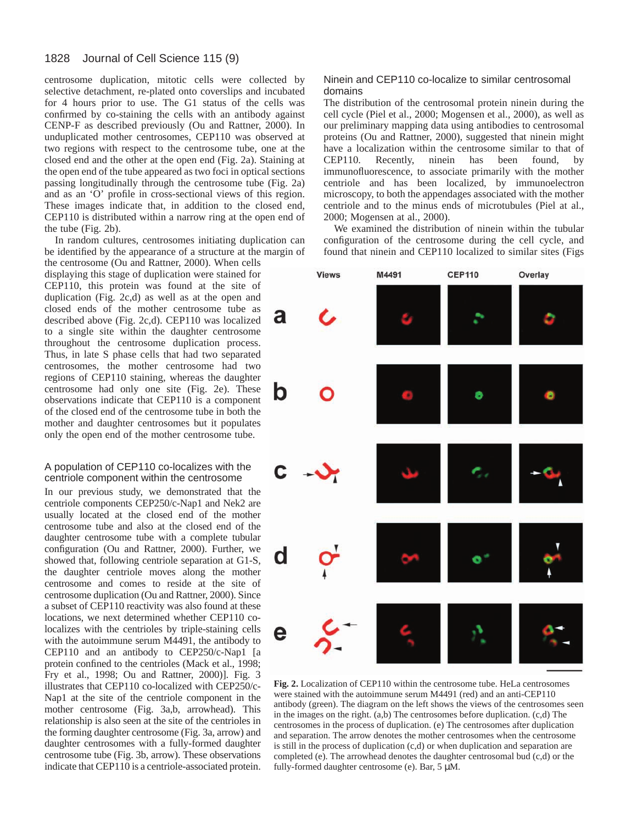centrosome duplication, mitotic cells were collected by selective detachment, re-plated onto coverslips and incubated for 4 hours prior to use. The G1 status of the cells was confirmed by co-staining the cells with an antibody against CENP-F as described previously (Ou and Rattner, 2000). In unduplicated mother centrosomes, CEP110 was observed at two regions with respect to the centrosome tube, one at the closed end and the other at the open end (Fig. 2a). Staining at the open end of the tube appeared as two foci in optical sections passing longitudinally through the centrosome tube (Fig. 2a) and as an 'O' profile in cross-sectional views of this region. These images indicate that, in addition to the closed end, CEP110 is distributed within a narrow ring at the open end of the tube (Fig. 2b).

In random cultures, centrosomes initiating duplication can be identified by the appearance of a structure at the margin of

the centrosome (Ou and Rattner, 2000). When cells displaying this stage of duplication were stained for CEP110, this protein was found at the site of duplication (Fig. 2c,d) as well as at the open and closed ends of the mother centrosome tube as described above (Fig. 2c,d). CEP110 was localized to a single site within the daughter centrosome throughout the centrosome duplication process. Thus, in late S phase cells that had two separated centrosomes, the mother centrosome had two regions of CEP110 staining, whereas the daughter centrosome had only one site (Fig. 2e). These observations indicate that CEP110 is a component of the closed end of the centrosome tube in both the mother and daughter centrosomes but it populates only the open end of the mother centrosome tube.

## A population of CEP110 co-localizes with the centriole component within the centrosome

In our previous study, we demonstrated that the centriole components CEP250/c-Nap1 and Nek2 are usually located at the closed end of the mother centrosome tube and also at the closed end of the daughter centrosome tube with a complete tubular configuration (Ou and Rattner, 2000). Further, we showed that, following centriole separation at G1-S, the daughter centriole moves along the mother centrosome and comes to reside at the site of centrosome duplication (Ou and Rattner, 2000). Since a subset of CEP110 reactivity was also found at these locations, we next determined whether CEP110 colocalizes with the centrioles by triple-staining cells with the autoimmune serum M4491, the antibody to CEP110 and an antibody to CEP250/c-Nap1 [a protein confined to the centrioles (Mack et al., 1998; Fry et al., 1998; Ou and Rattner, 2000)]. Fig. 3 illustrates that CEP110 co-localized with CEP250/c-Nap1 at the site of the centriole component in the mother centrosome (Fig. 3a,b, arrowhead). This relationship is also seen at the site of the centrioles in the forming daughter centrosome (Fig. 3a, arrow) and daughter centrosomes with a fully-formed daughter centrosome tube (Fig. 3b, arrow). These observations indicate that CEP110 is a centriole-associated protein.

# Ninein and CEP110 co-localize to similar centrosomal domains

The distribution of the centrosomal protein ninein during the cell cycle (Piel et al., 2000; Mogensen et al., 2000), as well as our preliminary mapping data using antibodies to centrosomal proteins (Ou and Rattner, 2000), suggested that ninein might have a localization within the centrosome similar to that of CEP110. Recently, ninein has been found, by immunofluorescence, to associate primarily with the mother centriole and has been localized, by immunoelectron microscopy, to both the appendages associated with the mother centriole and to the minus ends of microtubules (Piel at al., 2000; Mogensen at al., 2000).

We examined the distribution of ninein within the tubular configuration of the centrosome during the cell cycle, and found that ninein and CEP110 localized to similar sites (Figs



**Fig. 2.** Localization of CEP110 within the centrosome tube. HeLa centrosomes were stained with the autoimmune serum M4491 (red) and an anti-CEP110 antibody (green). The diagram on the left shows the views of the centrosomes seen in the images on the right. (a,b) The centrosomes before duplication. (c,d) The centrosomes in the process of duplication. (e) The centrosomes after duplication and separation. The arrow denotes the mother centrosomes when the centrosome is still in the process of duplication (c,d) or when duplication and separation are completed (e). The arrowhead denotes the daughter centrosomal bud (c,d) or the fully-formed daughter centrosome (e). Bar, 5 µM.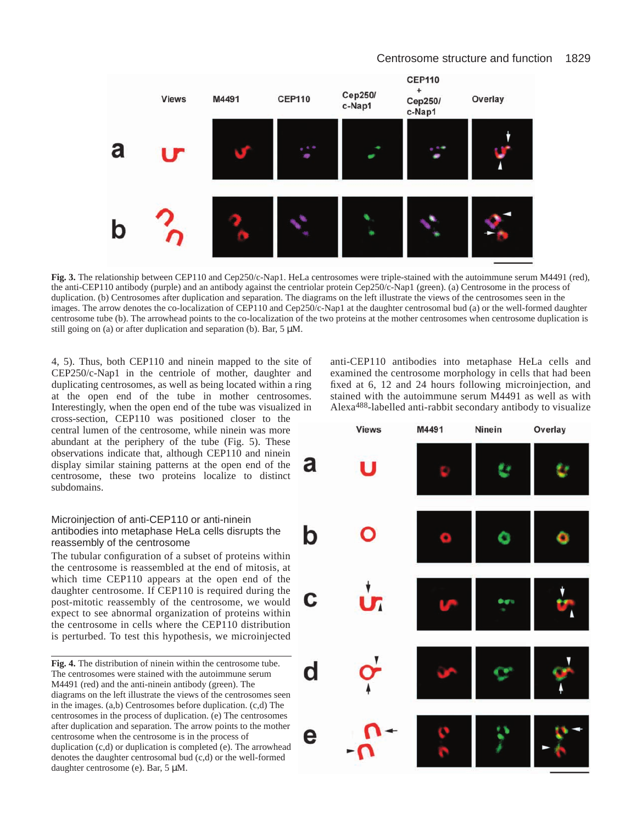

**Fig. 3.** The relationship between CEP110 and Cep250/c-Nap1. HeLa centrosomes were triple-stained with the autoimmune serum M4491 (red), the anti-CEP110 antibody (purple) and an antibody against the centriolar protein Cep250/c-Nap1 (green). (a) Centrosome in the process of duplication. (b) Centrosomes after duplication and separation. The diagrams on the left illustrate the views of the centrosomes seen in the images. The arrow denotes the co-localization of CEP110 and Cep250/c-Nap1 at the daughter centrosomal bud (a) or the well-formed daughter centrosome tube (b). The arrowhead points to the co-localization of the two proteins at the mother centrosomes when centrosome duplication is still going on (a) or after duplication and separation (b). Bar,  $5 \mu M$ .

4, 5). Thus, both CEP110 and ninein mapped to the site of CEP250/c-Nap1 in the centriole of mother, daughter and duplicating centrosomes, as well as being located within a ring at the open end of the tube in mother centrosomes. Interestingly, when the open end of the tube was visualized in cross-section, CEP110 was positioned closer to the central lumen of the centrosome, while ninein was more abundant at the periphery of the tube (Fig. 5). These observations indicate that, although CEP110 and ninein display similar staining patterns at the open end of the a centrosome, these two proteins localize to distinct subdomains.

# Microinjection of anti-CEP110 or anti-ninein antibodies into metaphase HeLa cells disrupts the reassembly of the centrosome

The tubular configuration of a subset of proteins within the centrosome is reassembled at the end of mitosis, at which time CEP110 appears at the open end of the daughter centrosome. If CEP110 is required during the post-mitotic reassembly of the centrosome, we would expect to see abnormal organization of proteins within the centrosome in cells where the CEP110 distribution is perturbed. To test this hypothesis, we microinjected

**Fig. 4.** The distribution of ninein within the centrosome tube. The centrosomes were stained with the autoimmune serum M4491 (red) and the anti-ninein antibody (green). The diagrams on the left illustrate the views of the centrosomes seen in the images. (a,b) Centrosomes before duplication. (c,d) The centrosomes in the process of duplication. (e) The centrosomes after duplication and separation. The arrow points to the mother centrosome when the centrosome is in the process of duplication (c,d) or duplication is completed (e). The arrowhead denotes the daughter centrosomal bud (c,d) or the well-formed daughter centrosome (e). Bar, 5 µM.

anti-CEP110 antibodies into metaphase HeLa cells and examined the centrosome morphology in cells that had been fixed at 6, 12 and 24 hours following microinjection, and stained with the autoimmune serum M4491 as well as with Alexa488-labelled anti-rabbit secondary antibody to visualize

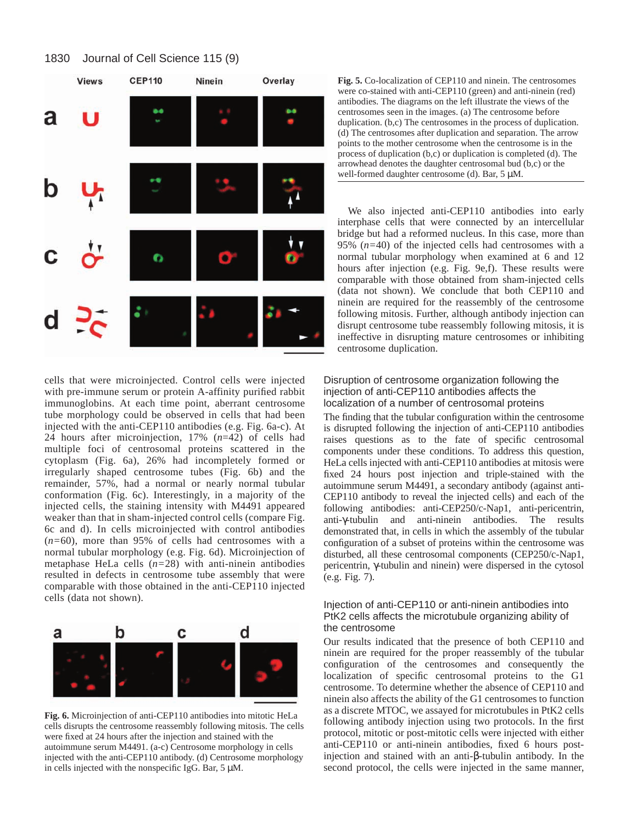

cells that were microinjected. Control cells were injected with pre-immune serum or protein A-affinity purified rabbit immunoglobins. At each time point, aberrant centrosome tube morphology could be observed in cells that had been injected with the anti-CEP110 antibodies (e.g. Fig. 6a-c). At 24 hours after microinjection, 17% (*n*=42) of cells had multiple foci of centrosomal proteins scattered in the cytoplasm (Fig. 6a), 26% had incompletely formed or irregularly shaped centrosome tubes (Fig. 6b) and the remainder, 57%, had a normal or nearly normal tubular conformation (Fig. 6c). Interestingly, in a majority of the injected cells, the staining intensity with M4491 appeared weaker than that in sham-injected control cells (compare Fig. 6c and d). In cells microinjected with control antibodies (*n=*60), more than 95% of cells had centrosomes with a normal tubular morphology (e.g. Fig. 6d). Microinjection of metaphase HeLa cells (*n=*28) with anti-ninein antibodies resulted in defects in centrosome tube assembly that were comparable with those obtained in the anti-CEP110 injected cells (data not shown).



**Fig. 6.** Microinjection of anti-CEP110 antibodies into mitotic HeLa cells disrupts the centrosome reassembly following mitosis. The cells were fixed at 24 hours after the injection and stained with the autoimmune serum M4491. (a-c) Centrosome morphology in cells injected with the anti-CEP110 antibody. (d) Centrosome morphology in cells injected with the nonspecific IgG. Bar, 5 µM.

**Fig. 5.** Co-localization of CEP110 and ninein. The centrosomes were co-stained with anti-CEP110 (green) and anti-ninein (red) antibodies. The diagrams on the left illustrate the views of the centrosomes seen in the images. (a) The centrosome before duplication. (b,c) The centrosomes in the process of duplication. (d) The centrosomes after duplication and separation. The arrow points to the mother centrosome when the centrosome is in the process of duplication (b,c) or duplication is completed (d). The arrowhead denotes the daughter centrosomal bud (b,c) or the well-formed daughter centrosome (d). Bar, 5  $\mu$ M.

We also injected anti-CEP110 antibodies into early interphase cells that were connected by an intercellular bridge but had a reformed nucleus. In this case, more than 95% (*n=*40) of the injected cells had centrosomes with a normal tubular morphology when examined at 6 and 12 hours after injection (e.g. Fig. 9e,f). These results were comparable with those obtained from sham-injected cells (data not shown). We conclude that both CEP110 and ninein are required for the reassembly of the centrosome following mitosis. Further, although antibody injection can disrupt centrosome tube reassembly following mitosis, it is ineffective in disrupting mature centrosomes or inhibiting centrosome duplication.

# Disruption of centrosome organization following the injection of anti-CEP110 antibodies affects the localization of a number of centrosomal proteins

The finding that the tubular configuration within the centrosome is disrupted following the injection of anti-CEP110 antibodies raises questions as to the fate of specific centrosomal components under these conditions. To address this question, HeLa cells injected with anti-CEP110 antibodies at mitosis were fixed 24 hours post injection and triple-stained with the autoimmune serum M4491, a secondary antibody (against anti-CEP110 antibody to reveal the injected cells) and each of the following antibodies: anti-CEP250/c-Nap1, anti-pericentrin, anti-γ-tubulin and anti-ninein antibodies. The results demonstrated that, in cells in which the assembly of the tubular configuration of a subset of proteins within the centrosome was disturbed, all these centrosomal components (CEP250/c-Nap1, pericentrin, γ-tubulin and ninein) were dispersed in the cytosol (e.g. Fig. 7).

# Injection of anti-CEP110 or anti-ninein antibodies into PtK2 cells affects the microtubule organizing ability of the centrosome

Our results indicated that the presence of both CEP110 and ninein are required for the proper reassembly of the tubular configuration of the centrosomes and consequently the localization of specific centrosomal proteins to the G1 centrosome. To determine whether the absence of CEP110 and ninein also affects the ability of the G1 centrosomes to function as a discrete MTOC, we assayed for microtubules in PtK2 cells following antibody injection using two protocols. In the first protocol, mitotic or post-mitotic cells were injected with either anti-CEP110 or anti-ninein antibodies, fixed 6 hours postinjection and stained with an anti-β-tubulin antibody. In the second protocol, the cells were injected in the same manner,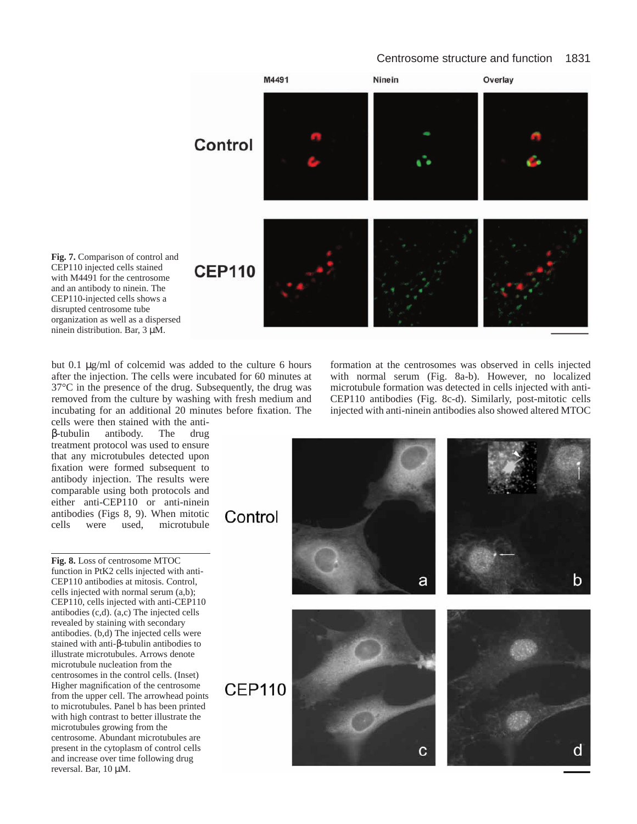# Centrosome structure and function 1831



**Fig. 7.** Comparison of control and CEP110 injected cells stained with M4491 for the centrosome and an antibody to ninein. The CEP110-injected cells shows a disrupted centrosome tube organization as well as a dispersed ninein distribution. Bar, 3 µM.

but 0.1 µg/ml of colcemid was added to the culture 6 hours after the injection. The cells were incubated for 60 minutes at 37°C in the presence of the drug. Subsequently, the drug was removed from the culture by washing with fresh medium and incubating for an additional 20 minutes before fixation. The

cells were then stained with the antiβ-tubulin antibody. The drug treatment protocol was used to ensure that any microtubules detected upon fixation were formed subsequent to antibody injection. The results were comparable using both protocols and either anti-CEP110 or anti-ninein antibodies (Figs 8, 9). When mitotic cells were used, microtubule

**Fig. 8.** Loss of centrosome MTOC function in PtK2 cells injected with anti-CEP110 antibodies at mitosis. Control, cells injected with normal serum (a,b); CEP110, cells injected with anti-CEP110 antibodies (c,d). (a,c) The injected cells revealed by staining with secondary antibodies. (b,d) The injected cells were stained with anti-β-tubulin antibodies to illustrate microtubules. Arrows denote microtubule nucleation from the centrosomes in the control cells. (Inset) Higher magnification of the centrosome from the upper cell. The arrowhead points to microtubules. Panel b has been printed with high contrast to better illustrate the microtubules growing from the centrosome. Abundant microtubules are present in the cytoplasm of control cells and increase over time following drug reversal. Bar, 10 µM.

formation at the centrosomes was observed in cells injected with normal serum (Fig. 8a-b). However, no localized microtubule formation was detected in cells injected with anti-CEP110 antibodies (Fig. 8c-d). Similarly, post-mitotic cells injected with anti-ninein antibodies also showed altered MTOC

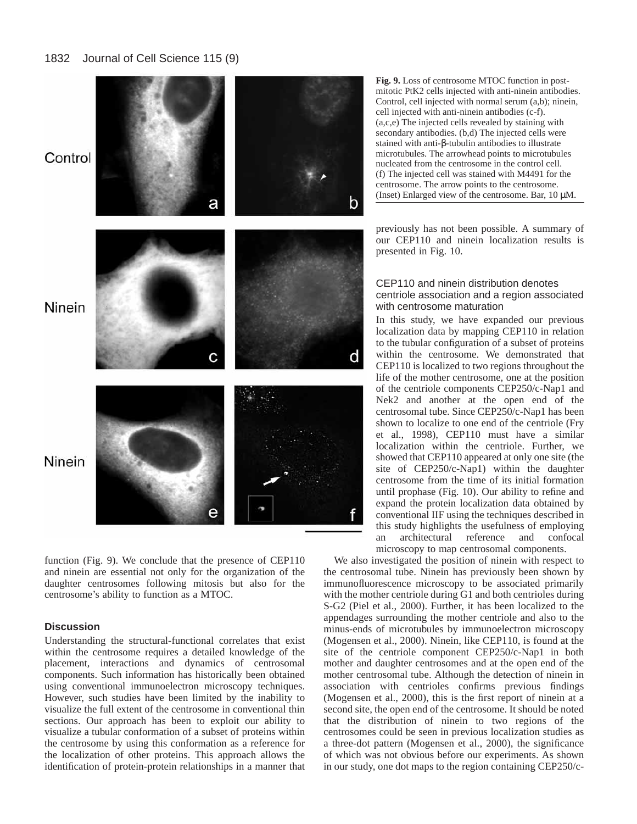

function (Fig. 9). We conclude that the presence of CEP110 and ninein are essential not only for the organization of the daughter centrosomes following mitosis but also for the centrosome's ability to function as a MTOC.

# **Discussion**

Understanding the structural-functional correlates that exist within the centrosome requires a detailed knowledge of the placement, interactions and dynamics of centrosomal components. Such information has historically been obtained using conventional immunoelectron microscopy techniques. However, such studies have been limited by the inability to visualize the full extent of the centrosome in conventional thin sections. Our approach has been to exploit our ability to visualize a tubular conformation of a subset of proteins within the centrosome by using this conformation as a reference for the localization of other proteins. This approach allows the identification of protein-protein relationships in a manner that **Fig. 9.** Loss of centrosome MTOC function in postmitotic PtK2 cells injected with anti-ninein antibodies. Control, cell injected with normal serum (a,b); ninein, cell injected with anti-ninein antibodies (c-f). (a,c,e) The injected cells revealed by staining with secondary antibodies. (b,d) The injected cells were stained with anti-β-tubulin antibodies to illustrate microtubules. The arrowhead points to microtubules nucleated from the centrosome in the control cell. (f) The injected cell was stained with M4491 for the centrosome. The arrow points to the centrosome. (Inset) Enlarged view of the centrosome. Bar, 10 µM.

previously has not been possible. A summary of our CEP110 and ninein localization results is presented in Fig. 10.

# CEP110 and ninein distribution denotes centriole association and a region associated with centrosome maturation

In this study, we have expanded our previous localization data by mapping CEP110 in relation to the tubular configuration of a subset of proteins within the centrosome. We demonstrated that CEP110 is localized to two regions throughout the life of the mother centrosome, one at the position of the centriole components CEP250/c-Nap1 and Nek2 and another at the open end of the centrosomal tube. Since CEP250/c-Nap1 has been shown to localize to one end of the centriole (Fry et al., 1998), CEP110 must have a similar localization within the centriole. Further, we showed that CEP110 appeared at only one site (the site of CEP250/c-Nap1) within the daughter centrosome from the time of its initial formation until prophase (Fig. 10). Our ability to refine and expand the protein localization data obtained by conventional IIF using the techniques described in this study highlights the usefulness of employing an architectural reference and confocal microscopy to map centrosomal components.

We also investigated the position of ninein with respect to the centrosomal tube. Ninein has previously been shown by immunofluorescence microscopy to be associated primarily with the mother centriole during G1 and both centrioles during S-G2 (Piel et al., 2000). Further, it has been localized to the appendages surrounding the mother centriole and also to the minus-ends of microtubules by immunoelectron microscopy (Mogensen et al., 2000). Ninein, like CEP110, is found at the site of the centriole component CEP250/c-Nap1 in both mother and daughter centrosomes and at the open end of the mother centrosomal tube. Although the detection of ninein in association with centrioles confirms previous findings (Mogensen et al., 2000), this is the first report of ninein at a second site, the open end of the centrosome. It should be noted that the distribution of ninein to two regions of the centrosomes could be seen in previous localization studies as a three-dot pattern (Mogensen et al., 2000), the significance of which was not obvious before our experiments. As shown in our study, one dot maps to the region containing CEP250/c-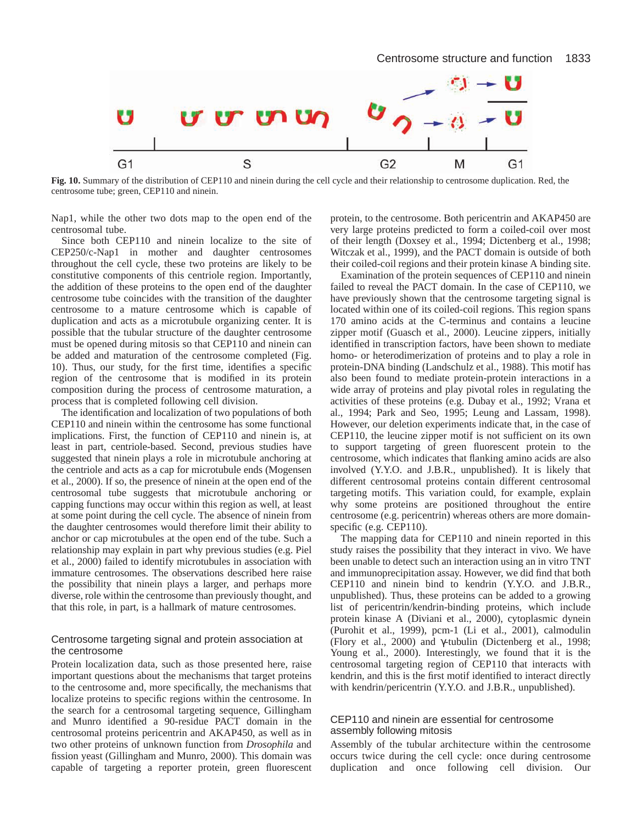

**Fig. 10.** Summary of the distribution of CEP110 and ninein during the cell cycle and their relationship to centrosome duplication. Red, the centrosome tube; green, CEP110 and ninein.

Nap1, while the other two dots map to the open end of the centrosomal tube.

Since both CEP110 and ninein localize to the site of CEP250/c-Nap1 in mother and daughter centrosomes throughout the cell cycle, these two proteins are likely to be constitutive components of this centriole region. Importantly, the addition of these proteins to the open end of the daughter centrosome tube coincides with the transition of the daughter centrosome to a mature centrosome which is capable of duplication and acts as a microtubule organizing center. It is possible that the tubular structure of the daughter centrosome must be opened during mitosis so that CEP110 and ninein can be added and maturation of the centrosome completed (Fig. 10). Thus, our study, for the first time, identifies a specific region of the centrosome that is modified in its protein composition during the process of centrosome maturation, a process that is completed following cell division.

The identification and localization of two populations of both CEP110 and ninein within the centrosome has some functional implications. First, the function of CEP110 and ninein is, at least in part, centriole-based. Second, previous studies have suggested that ninein plays a role in microtubule anchoring at the centriole and acts as a cap for microtubule ends (Mogensen et al., 2000). If so, the presence of ninein at the open end of the centrosomal tube suggests that microtubule anchoring or capping functions may occur within this region as well, at least at some point during the cell cycle. The absence of ninein from the daughter centrosomes would therefore limit their ability to anchor or cap microtubules at the open end of the tube. Such a relationship may explain in part why previous studies (e.g. Piel et al., 2000) failed to identify microtubules in association with immature centrosomes. The observations described here raise the possibility that ninein plays a larger, and perhaps more diverse, role within the centrosome than previously thought, and that this role, in part, is a hallmark of mature centrosomes.

# Centrosome targeting signal and protein association at the centrosome

Protein localization data, such as those presented here, raise important questions about the mechanisms that target proteins to the centrosome and, more specifically, the mechanisms that localize proteins to specific regions within the centrosome. In the search for a centrosomal targeting sequence, Gillingham and Munro identified a 90-residue PACT domain in the centrosomal proteins pericentrin and AKAP450, as well as in two other proteins of unknown function from *Drosophila* and fission yeast (Gillingham and Munro, 2000). This domain was capable of targeting a reporter protein, green fluorescent

protein, to the centrosome. Both pericentrin and AKAP450 are very large proteins predicted to form a coiled-coil over most of their length (Doxsey et al., 1994; Dictenberg et al., 1998; Witczak et al., 1999), and the PACT domain is outside of both their coiled-coil regions and their protein kinase A binding site.

Examination of the protein sequences of CEP110 and ninein failed to reveal the PACT domain. In the case of CEP110, we have previously shown that the centrosome targeting signal is located within one of its coiled-coil regions. This region spans 170 amino acids at the C-terminus and contains a leucine zipper motif (Guasch et al., 2000). Leucine zippers, initially identified in transcription factors, have been shown to mediate homo- or heterodimerization of proteins and to play a role in protein-DNA binding (Landschulz et al., 1988). This motif has also been found to mediate protein-protein interactions in a wide array of proteins and play pivotal roles in regulating the activities of these proteins (e.g. Dubay et al., 1992; Vrana et al., 1994; Park and Seo, 1995; Leung and Lassam, 1998). However, our deletion experiments indicate that, in the case of CEP110, the leucine zipper motif is not sufficient on its own to support targeting of green fluorescent protein to the centrosome, which indicates that flanking amino acids are also involved (Y.Y.O. and J.B.R., unpublished). It is likely that different centrosomal proteins contain different centrosomal targeting motifs. This variation could, for example, explain why some proteins are positioned throughout the entire centrosome (e.g. pericentrin) whereas others are more domainspecific (e.g. CEP110).

The mapping data for CEP110 and ninein reported in this study raises the possibility that they interact in vivo. We have been unable to detect such an interaction using an in vitro TNT and immunoprecipitation assay. However, we did find that both CEP110 and ninein bind to kendrin (Y.Y.O. and J.B.R., unpublished). Thus, these proteins can be added to a growing list of pericentrin/kendrin-binding proteins, which include protein kinase A (Diviani et al., 2000), cytoplasmic dynein (Purohit et al., 1999), pcm-1 (Li et al., 2001), calmodulin (Flory et al., 2000) and γ-tubulin (Dictenberg et al., 1998; Young et al., 2000). Interestingly, we found that it is the centrosomal targeting region of CEP110 that interacts with kendrin, and this is the first motif identified to interact directly with kendrin/pericentrin (Y.Y.O. and J.B.R., unpublished).

# CEP110 and ninein are essential for centrosome assembly following mitosis

Assembly of the tubular architecture within the centrosome occurs twice during the cell cycle: once during centrosome duplication and once following cell division. Our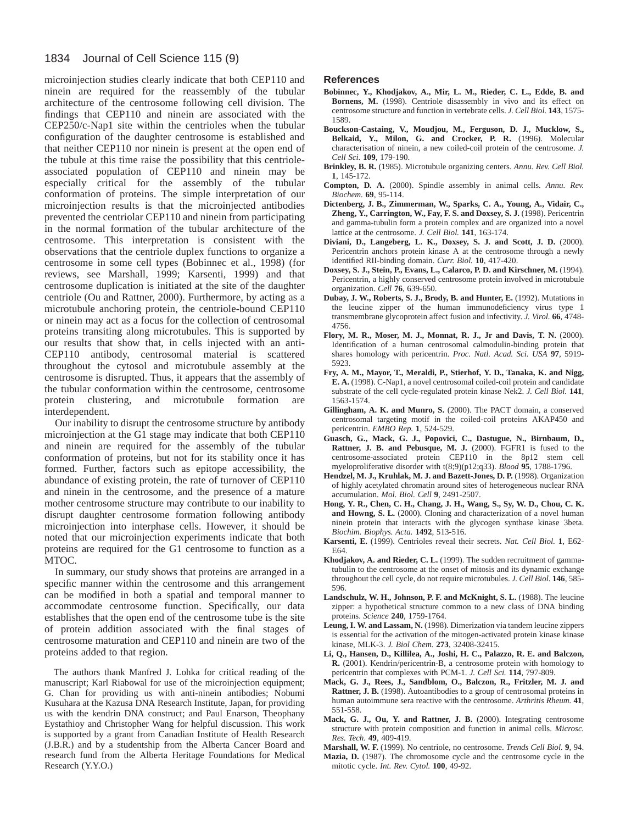microinjection studies clearly indicate that both CEP110 and ninein are required for the reassembly of the tubular architecture of the centrosome following cell division. The findings that CEP110 and ninein are associated with the CEP250/c-Nap1 site within the centrioles when the tubular configuration of the daughter centrosome is established and that neither CEP110 nor ninein is present at the open end of the tubule at this time raise the possibility that this centrioleassociated population of CEP110 and ninein may be especially critical for the assembly of the tubular conformation of proteins. The simple interpretation of our microinjection results is that the microinjected antibodies prevented the centriolar CEP110 and ninein from participating in the normal formation of the tubular architecture of the centrosome. This interpretation is consistent with the observations that the centriole duplex functions to organize a centrosome in some cell types (Bobinnec et al., 1998) (for reviews, see Marshall, 1999; Karsenti, 1999) and that centrosome duplication is initiated at the site of the daughter centriole (Ou and Rattner, 2000). Furthermore, by acting as a microtubule anchoring protein, the centriole-bound CEP110 or ninein may act as a focus for the collection of centrosomal proteins transiting along microtubules. This is supported by our results that show that, in cells injected with an anti-CEP110 antibody, centrosomal material is scattered throughout the cytosol and microtubule assembly at the centrosome is disrupted. Thus, it appears that the assembly of the tubular conformation within the centrosome, centrosome protein clustering, and microtubule formation are interdependent.

Our inability to disrupt the centrosome structure by antibody microinjection at the G1 stage may indicate that both CEP110 and ninein are required for the assembly of the tubular conformation of proteins, but not for its stability once it has formed. Further, factors such as epitope accessibility, the abundance of existing protein, the rate of turnover of CEP110 and ninein in the centrosome, and the presence of a mature mother centrosome structure may contribute to our inability to disrupt daughter centrosome formation following antibody microinjection into interphase cells. However, it should be noted that our microinjection experiments indicate that both proteins are required for the G1 centrosome to function as a MTOC.

In summary, our study shows that proteins are arranged in a specific manner within the centrosome and this arrangement can be modified in both a spatial and temporal manner to accommodate centrosome function. Specifically, our data establishes that the open end of the centrosome tube is the site of protein addition associated with the final stages of centrosome maturation and CEP110 and ninein are two of the proteins added to that region.

The authors thank Manfred J. Lohka for critical reading of the manuscript; Karl Riabowal for use of the microinjection equipment; G. Chan for providing us with anti-ninein antibodies; Nobumi Kusuhara at the Kazusa DNA Research Institute, Japan, for providing us with the kendrin DNA construct; and Paul Enarson, Theophany Eystathioy and Christopher Wang for helpful discussion. This work is supported by a grant from Canadian Institute of Health Research (J.B.R.) and by a studentship from the Alberta Cancer Board and research fund from the Alberta Heritage Foundations for Medical Research (Y.Y.O.)

## **References**

- **Bobinnec, Y., Khodjakov, A., Mir, L. M., Rieder, C. L., Edde, B. and** Bornens, M. (1998). Centriole disassembly in vivo and its effect on centrosome structure and function in vertebrate cells. *J. Cell Biol.* **143**, 1575- 1589.
- **Bouckson-Castaing, V., Moudjou, M., Ferguson, D. J., Mucklow, S., Belkaid, Y., Milon, G. and Crocker, P. R.** (1996). Molecular characterisation of ninein, a new coiled-coil protein of the centrosome. *J. Cell Sci.* **109**, 179-190.
- **Brinkley, B. R.** (1985). Microtubule organizing centers. *Annu. Rev. Cell Biol.* **1**, 145-172.
- **Compton, D. A.** (2000). Spindle assembly in animal cells. *Annu. Rev. Biochem.* **69**, 95-114.
- **Dictenberg, J. B., Zimmerman, W., Sparks, C. A., Young, A., Vidair, C., Zheng, Y., Carrington, W., Fay, F. S. and Doxsey, S. J.** (1998). Pericentrin and gamma-tubulin form a protein complex and are organized into a novel lattice at the centrosome. *J. Cell Biol.* **141**, 163-174.
- **Diviani, D., Langeberg, L. K., Doxsey, S. J. and Scott, J. D.** (2000). Pericentrin anchors protein kinase A at the centrosome through a newly identified RII-binding domain. *Curr. Biol.* **10**, 417-420.
- **Doxsey, S. J., Stein, P., Evans, L., Calarco, P. D. and Kirschner, M.** (1994). Pericentrin, a highly conserved centrosome protein involved in microtubule organization. *Cell* **76**, 639-650.
- **Dubay, J. W., Roberts, S. J., Brody, B. and Hunter, E.** (1992). Mutations in the leucine zipper of the human immunodeficiency virus type 1 transmembrane glycoprotein affect fusion and infectivity. *J. Virol.* **66**, 4748- 4756.
- **Flory, M. R., Moser, M. J., Monnat, R. J., Jr and Davis, T. N.** (2000). Identification of a human centrosomal calmodulin-binding protein that shares homology with pericentrin. *Proc. Natl. Acad. Sci. USA* **97**, 5919- 5923.
- **Fry, A. M., Mayor, T., Meraldi, P., Stierhof, Y. D., Tanaka, K. and Nigg, E. A.** (1998). C-Nap1, a novel centrosomal coiled-coil protein and candidate substrate of the cell cycle-regulated protein kinase Nek2. *J. Cell Biol.* **141**, 1563-1574.
- **Gillingham, A. K. and Munro, S.** (2000). The PACT domain, a conserved centrosomal targeting motif in the coiled-coil proteins AKAP450 and pericentrin. *EMBO Rep.* **1**, 524-529.
- **Guasch, G., Mack, G. J., Popovici, C., Dastugue, N., Birnbaum, D., Rattner, J. B. and Pebusque, M. J.** (2000). FGFR1 is fused to the centrosome-associated protein CEP110 in the 8p12 stem cell myeloproliferative disorder with t(8;9)(p12;q33). *Blood* **95**, 1788-1796.
- Hendzel, M. J., Kruhlak, M. J. and Bazett-Jones, D. P. (1998). Organization of highly acetylated chromatin around sites of heterogeneous nuclear RNA accumulation. *Mol. Biol. Cell* **9**, 2491-2507.
- **Hong, Y. R., Chen, C. H., Chang, J. H., Wang, S., Sy, W. D., Chou, C. K.** and Howng, S. L. (2000). Cloning and characterization of a novel human ninein protein that interacts with the glycogen synthase kinase 3beta. *Biochim. Biophys. Acta.* **1492**, 513-516.
- **Karsenti, E.** (1999). Centrioles reveal their secrets. *Nat. Cell Biol.* **1**, E62- E64.
- Khodjakov, A. and Rieder, C. L. (1999). The sudden recruitment of gammatubulin to the centrosome at the onset of mitosis and its dynamic exchange throughout the cell cycle, do not require microtubules. *J. Cell Biol.* **146**, 585- 596.
- Landschulz, W. H., Johnson, P. F. and McKnight, S. L. (1988). The leucine zipper: a hypothetical structure common to a new class of DNA binding proteins. *Science* **240**, 1759-1764.
- **Leung, I. W. and Lassam, N.** (1998). Dimerization via tandem leucine zippers is essential for the activation of the mitogen-activated protein kinase kinase kinase, MLK-3. *J. Biol Chem.* **273**, 32408-32415.
- **Li, Q., Hansen, D., Killilea, A., Joshi, H. C., Palazzo, R. E. and Balczon, R.** (2001). Kendrin/pericentrin-B, a centrosome protein with homology to pericentrin that complexes with PCM-1. *J. Cell Sci.* **114**, 797-809.
- **Mack, G. J., Rees, J., Sandblom, O., Balczon, R., Fritzler, M. J. and Rattner, J. B.** (1998). Autoantibodies to a group of centrosomal proteins in human autoimmune sera reactive with the centrosome. *Arthritis Rheum.* **41**, 551-558.
- **Mack, G. J., Ou, Y. and Rattner, J. B.** (2000). Integrating centrosome structure with protein composition and function in animal cells. *Microsc. Res. Tech.* **49**, 409-419.
- **Marshall, W. F.** (1999). No centriole, no centrosome. *Trends Cell Biol.* **9**, 94.
- **Mazia, D.** (1987). The chromosome cycle and the centrosome cycle in the mitotic cycle. *Int. Rev. Cytol.* **100**, 49-92.